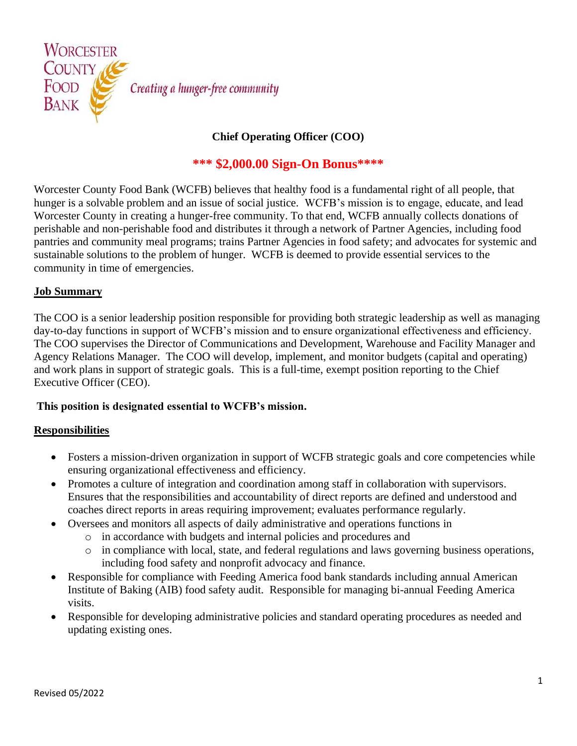

## **Chief Operating Officer (COO)**

# **\*\*\* \$2,000.00 Sign-On Bonus\*\*\*\***

Worcester County Food Bank (WCFB) believes that healthy food is a fundamental right of all people, that hunger is a solvable problem and an issue of social justice. WCFB's mission is to engage, educate, and lead Worcester County in creating a hunger-free community. To that end, WCFB annually collects donations of perishable and non-perishable food and distributes it through a network of Partner Agencies, including food pantries and community meal programs; trains Partner Agencies in food safety; and advocates for systemic and sustainable solutions to the problem of hunger. WCFB is deemed to provide essential services to the community in time of emergencies.

#### **Job Summary**

The COO is a senior leadership position responsible for providing both strategic leadership as well as managing day-to-day functions in support of WCFB's mission and to ensure organizational effectiveness and efficiency. The COO supervises the Director of Communications and Development, Warehouse and Facility Manager and Agency Relations Manager. The COO will develop, implement, and monitor budgets (capital and operating) and work plans in support of strategic goals. This is a full-time, exempt position reporting to the Chief Executive Officer (CEO).

### **This position is designated essential to WCFB's mission.**

#### **Responsibilities**

- Fosters a mission-driven organization in support of WCFB strategic goals and core competencies while ensuring organizational effectiveness and efficiency.
- Promotes a culture of integration and coordination among staff in collaboration with supervisors. Ensures that the responsibilities and accountability of direct reports are defined and understood and coaches direct reports in areas requiring improvement; evaluates performance regularly.
- Oversees and monitors all aspects of daily administrative and operations functions in
	- o in accordance with budgets and internal policies and procedures and
	- o in compliance with local, state, and federal regulations and laws governing business operations, including food safety and nonprofit advocacy and finance.
- Responsible for compliance with Feeding America food bank standards including annual American Institute of Baking (AIB) food safety audit. Responsible for managing bi-annual Feeding America visits.
- Responsible for developing administrative policies and standard operating procedures as needed and updating existing ones.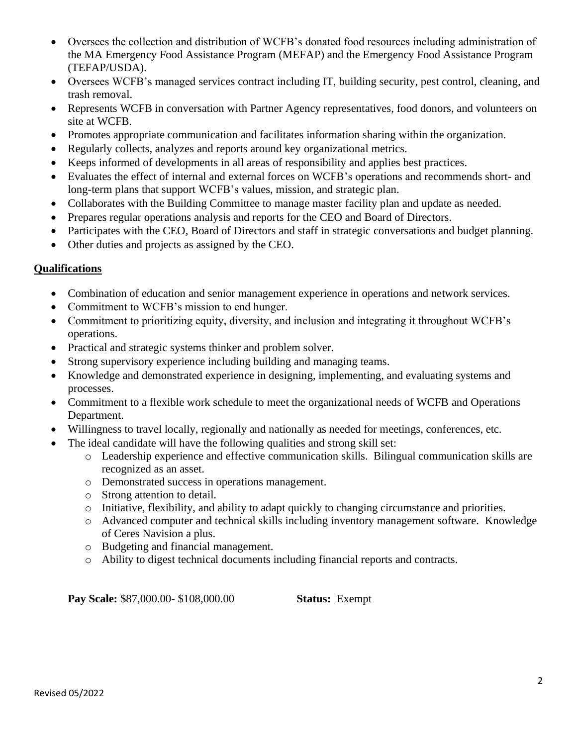- Oversees the collection and distribution of WCFB's donated food resources including administration of the MA Emergency Food Assistance Program (MEFAP) and the Emergency Food Assistance Program (TEFAP/USDA).
- Oversees WCFB's managed services contract including IT, building security, pest control, cleaning, and trash removal.
- Represents WCFB in conversation with Partner Agency representatives, food donors, and volunteers on site at WCFB.
- Promotes appropriate communication and facilitates information sharing within the organization.
- Regularly collects, analyzes and reports around key organizational metrics.
- Keeps informed of developments in all areas of responsibility and applies best practices.
- Evaluates the effect of internal and external forces on WCFB's operations and recommends short- and long-term plans that support WCFB's values, mission, and strategic plan.
- Collaborates with the Building Committee to manage master facility plan and update as needed.
- Prepares regular operations analysis and reports for the CEO and Board of Directors.
- Participates with the CEO, Board of Directors and staff in strategic conversations and budget planning.
- Other duties and projects as assigned by the CEO.

### **Qualifications**

- Combination of education and senior management experience in operations and network services.
- Commitment to WCFB's mission to end hunger.
- Commitment to prioritizing equity, diversity, and inclusion and integrating it throughout WCFB's operations.
- Practical and strategic systems thinker and problem solver.
- Strong supervisory experience including building and managing teams.
- Knowledge and demonstrated experience in designing, implementing, and evaluating systems and processes.
- Commitment to a flexible work schedule to meet the organizational needs of WCFB and Operations Department.
- Willingness to travel locally, regionally and nationally as needed for meetings, conferences, etc.
- The ideal candidate will have the following qualities and strong skill set:
	- o Leadership experience and effective communication skills. Bilingual communication skills are recognized as an asset.
	- o Demonstrated success in operations management.
	- o Strong attention to detail.
	- o Initiative, flexibility, and ability to adapt quickly to changing circumstance and priorities.
	- o Advanced computer and technical skills including inventory management software. Knowledge of Ceres Navision a plus.
	- o Budgeting and financial management.
	- o Ability to digest technical documents including financial reports and contracts.

**Pay Scale:** \$87,000.00- \$108,000.00 **Status:** Exempt